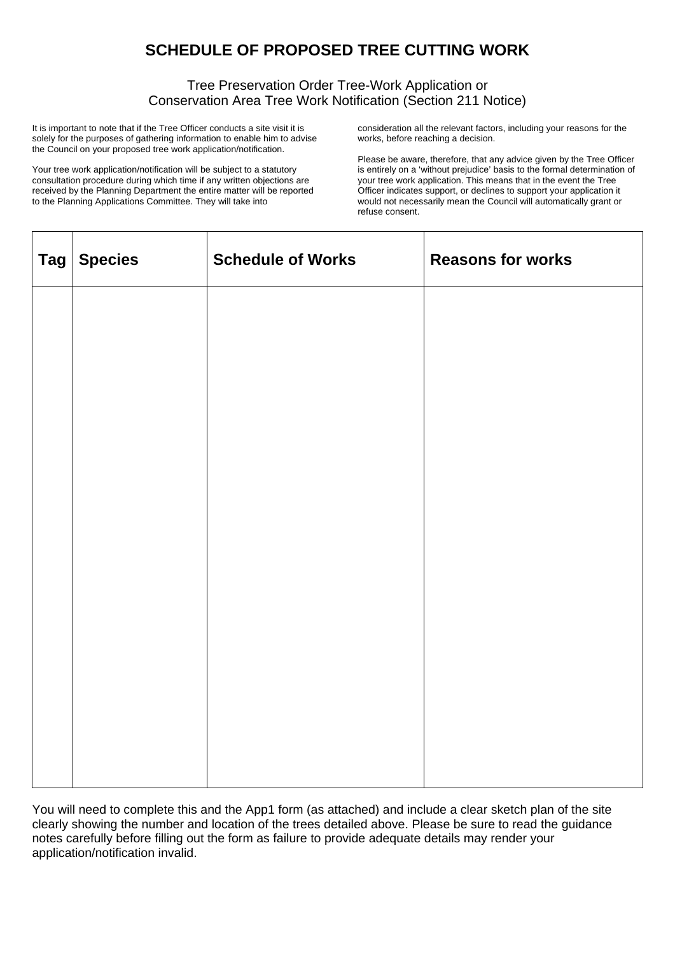## **SCHEDULE OF PROPOSED TREE CUTTING WORK**

## Tree Preservation Order Tree-Work Application or Conservation Area Tree Work Notification (Section 211 Notice)

It is important to note that if the Tree Officer conducts a site visit it is solely for the purposes of gathering information to enable him to advise the Council on your proposed tree work application/notification.

Your tree work application/notification will be subject to a statutory consultation procedure during which time if any written objections are received by the Planning Department the entire matter will be reported to the Planning Applications Committee. They will take into

consideration all the relevant factors, including your reasons for the works, before reaching a decision.

Please be aware, therefore, that any advice given by the Tree Officer is entirely on a 'without prejudice' basis to the formal determination of your tree work application. This means that in the event the Tree Officer indicates support, or declines to support your application it would not necessarily mean the Council will automatically grant or refuse consent.

| Tag Species | <b>Schedule of Works</b> | <b>Reasons for works</b> |
|-------------|--------------------------|--------------------------|
|             |                          |                          |
|             |                          |                          |
|             |                          |                          |
|             |                          |                          |
|             |                          |                          |
|             |                          |                          |
|             |                          |                          |
|             |                          |                          |
|             |                          |                          |

You will need to complete this and the App1 form (as attached) and include a clear sketch plan of the site clearly showing the number and location of the trees detailed above. Please be sure to read the guidance notes carefully before filling out the form as failure to provide adequate details may render your application/notification invalid.